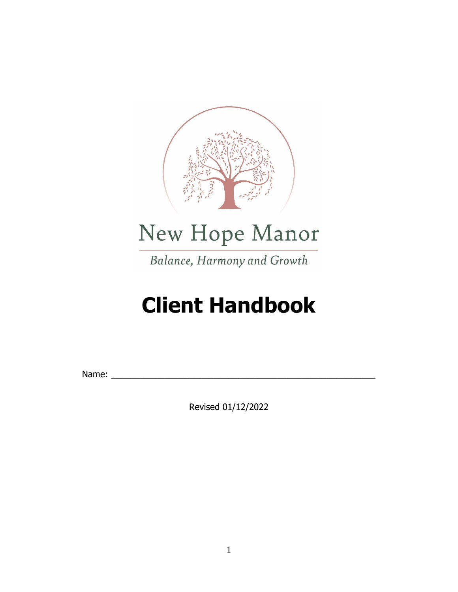

# New Hope Manor

Balance, Harmony and Growth

# **Client Handbook**

Name: \_\_\_\_\_\_\_\_\_\_\_\_\_\_\_\_\_\_\_\_\_\_\_\_\_\_\_\_\_\_\_\_\_\_\_\_\_\_\_\_\_\_\_\_\_\_\_\_\_\_\_\_\_\_

Revised 01/12/2022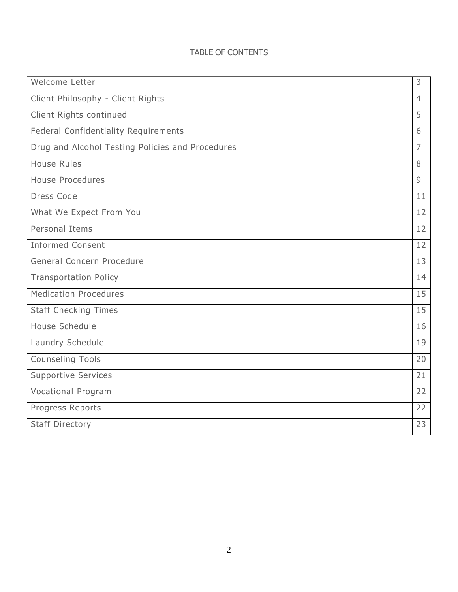# TABLE OF CONTENTS

| Welcome Letter                                   | 3              |
|--------------------------------------------------|----------------|
| Client Philosophy - Client Rights                | $\overline{4}$ |
| Client Rights continued                          | 5              |
| <b>Federal Confidentiality Requirements</b>      | 6              |
| Drug and Alcohol Testing Policies and Procedures | $\overline{7}$ |
| <b>House Rules</b>                               | 8              |
| <b>House Procedures</b>                          | 9              |
| Dress Code                                       | 11             |
| What We Expect From You                          | 12             |
| Personal Items                                   | 12             |
| <b>Informed Consent</b>                          | 12             |
| General Concern Procedure                        | 13             |
| <b>Transportation Policy</b>                     | 14             |
| <b>Medication Procedures</b>                     | 15             |
| <b>Staff Checking Times</b>                      | 15             |
| House Schedule                                   | 16             |
| Laundry Schedule                                 | 19             |
| <b>Counseling Tools</b>                          | 20             |
| <b>Supportive Services</b>                       | 21             |
| <b>Vocational Program</b>                        | 22             |
| Progress Reports                                 | 22             |
| <b>Staff Directory</b>                           | 23             |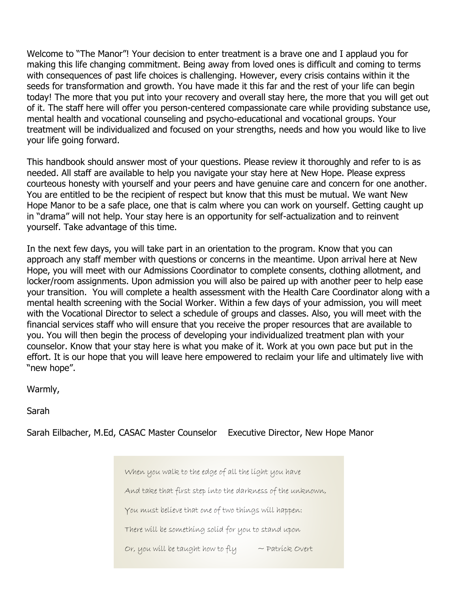Welcome to "The Manor"! Your decision to enter treatment is a brave one and I applaud you for making this life changing commitment. Being away from loved ones is difficult and coming to terms with consequences of past life choices is challenging. However, every crisis contains within it the seeds for transformation and growth. You have made it this far and the rest of your life can begin today! The more that you put into your recovery and overall stay here, the more that you will get out of it. The staff here will offer you person-centered compassionate care while providing substance use, mental health and vocational counseling and psycho-educational and vocational groups. Your treatment will be individualized and focused on your strengths, needs and how you would like to live your life going forward.

This handbook should answer most of your questions. Please review it thoroughly and refer to is as needed. All staff are available to help you navigate your stay here at New Hope. Please express courteous honesty with yourself and your peers and have genuine care and concern for one another. You are entitled to be the recipient of respect but know that this must be mutual. We want New Hope Manor to be a safe place, one that is calm where you can work on yourself. Getting caught up in "drama" will not help. Your stay here is an opportunity for self-actualization and to reinvent yourself. Take advantage of this time.

In the next few days, you will take part in an orientation to the program. Know that you can approach any staff member with questions or concerns in the meantime. Upon arrival here at New Hope, you will meet with our Admissions Coordinator to complete consents, clothing allotment, and locker/room assignments. Upon admission you will also be paired up with another peer to help ease your transition. You will complete a health assessment with the Health Care Coordinator along with a mental health screening with the Social Worker. Within a few days of your admission, you will meet with the Vocational Director to select a schedule of groups and classes. Also, you will meet with the financial services staff who will ensure that you receive the proper resources that are available to you. You will then begin the process of developing your individualized treatment plan with your counselor. Know that your stay here is what you make of it. Work at you own pace but put in the effort. It is our hope that you will leave here empowered to reclaim your life and ultimately live with "new hope".

Warmly,

Sarah

Sarah Eilbacher, M.Ed, CASAC Master Counselor Executive Director, New Hope Manor

When you walk to the edge of all the light you have And take that first step into the darkness of the unknown,

You must believe that one of two things will happen:

There will be something solid for you to stand upon

3 Or, you will be taught how to fly ~ Patrick Overt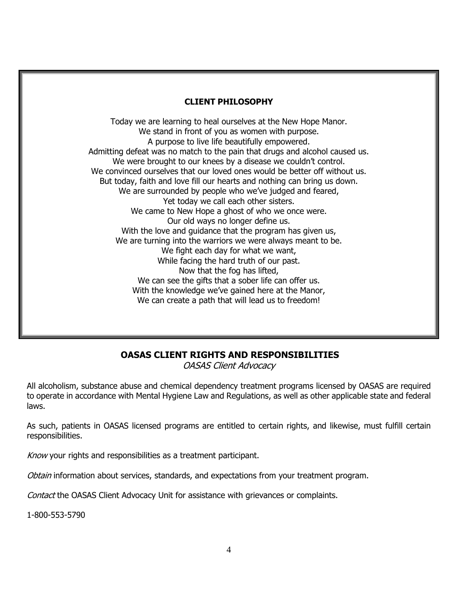# **CLIENT PHILOSOPHY**

Today we are learning to heal ourselves at the New Hope Manor. We stand in front of you as women with purpose. A purpose to live life beautifully empowered. Admitting defeat was no match to the pain that drugs and alcohol caused us. We were brought to our knees by a disease we couldn't control. We convinced ourselves that our loved ones would be better off without us. But today, faith and love fill our hearts and nothing can bring us down. We are surrounded by people who we've judged and feared, Yet today we call each other sisters. We came to New Hope a ghost of who we once were. Our old ways no longer define us. With the love and quidance that the program has given us, We are turning into the warriors we were always meant to be. We fight each day for what we want, While facing the hard truth of our past. Now that the fog has lifted, We can see the gifts that a sober life can offer us. With the knowledge we've gained here at the Manor, We can create a path that will lead us to freedom!

# **OASAS CLIENT RIGHTS AND RESPONSIBILITIES**

OASAS Client Advocacy

All alcoholism, substance abuse and chemical dependency treatment programs licensed by OASAS are required to operate in accordance with Mental Hygiene Law and Regulations, as well as other applicable state and federal laws.

As such, patients in OASAS licensed programs are entitled to certain rights, and likewise, must fulfill certain responsibilities.

Know your rights and responsibilities as a treatment participant.

Obtain information about services, standards, and expectations from your treatment program.

Contact the OASAS Client Advocacy Unit for assistance with grievances or complaints.

1-800-553-5790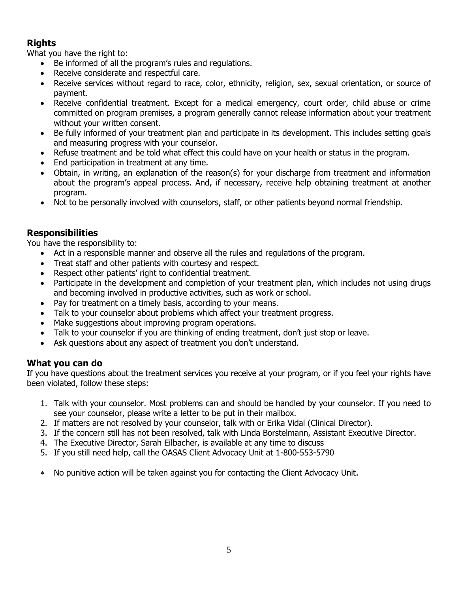# **Rights**

What you have the right to:

- Be informed of all the program's rules and regulations.
- Receive considerate and respectful care.
- Receive services without regard to race, color, ethnicity, religion, sex, sexual orientation, or source of payment.
- Receive confidential treatment. Except for a medical emergency, court order, child abuse or crime committed on program premises, a program generally cannot release information about your treatment without your written consent.
- Be fully informed of your treatment plan and participate in its development. This includes setting goals and measuring progress with your counselor.
- Refuse treatment and be told what effect this could have on your health or status in the program.
- End participation in treatment at any time.
- Obtain, in writing, an explanation of the reason(s) for your discharge from treatment and information about the program's appeal process. And, if necessary, receive help obtaining treatment at another program.
- Not to be personally involved with counselors, staff, or other patients beyond normal friendship.

# **Responsibilities**

You have the responsibility to:

- Act in a responsible manner and observe all the rules and regulations of the program.
- Treat staff and other patients with courtesy and respect.
- Respect other patients' right to confidential treatment.
- Participate in the development and completion of your treatment plan, which includes not using drugs and becoming involved in productive activities, such as work or school.
- Pay for treatment on a timely basis, according to your means.
- Talk to your counselor about problems which affect your treatment progress.
- Make suggestions about improving program operations.
- Talk to your counselor if you are thinking of ending treatment, don't just stop or leave.
- Ask questions about any aspect of treatment you don't understand.

# **What you can do**

If you have questions about the treatment services you receive at your program, or if you feel your rights have been violated, follow these steps:

- 1. Talk with your counselor. Most problems can and should be handled by your counselor. If you need to see your counselor, please write a letter to be put in their mailbox.
- 2. If matters are not resolved by your counselor, talk with or Erika Vidal (Clinical Director).
- 3. If the concern still has not been resolved, talk with Linda Borstelmann, Assistant Executive Director.
- 4. The Executive Director, Sarah Eilbacher, is available at any time to discuss
- 5. If you still need help, call the OASAS Client Advocacy Unit at 1-800-553-5790
- No punitive action will be taken against you for contacting the Client Advocacy Unit.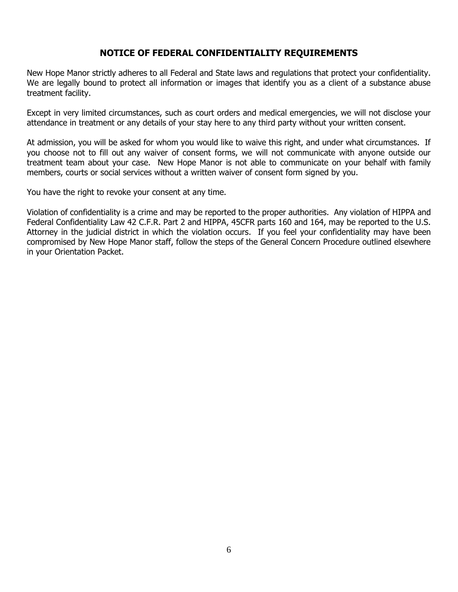# **NOTICE OF FEDERAL CONFIDENTIALITY REQUIREMENTS**

New Hope Manor strictly adheres to all Federal and State laws and regulations that protect your confidentiality. We are legally bound to protect all information or images that identify you as a client of a substance abuse treatment facility.

Except in very limited circumstances, such as court orders and medical emergencies, we will not disclose your attendance in treatment or any details of your stay here to any third party without your written consent.

At admission, you will be asked for whom you would like to waive this right, and under what circumstances. If you choose not to fill out any waiver of consent forms, we will not communicate with anyone outside our treatment team about your case. New Hope Manor is not able to communicate on your behalf with family members, courts or social services without a written waiver of consent form signed by you.

You have the right to revoke your consent at any time.

Violation of confidentiality is a crime and may be reported to the proper authorities. Any violation of HIPPA and Federal Confidentiality Law 42 C.F.R. Part 2 and HIPPA, 45CFR parts 160 and 164, may be reported to the U.S. Attorney in the judicial district in which the violation occurs. If you feel your confidentiality may have been compromised by New Hope Manor staff, follow the steps of the General Concern Procedure outlined elsewhere in your Orientation Packet.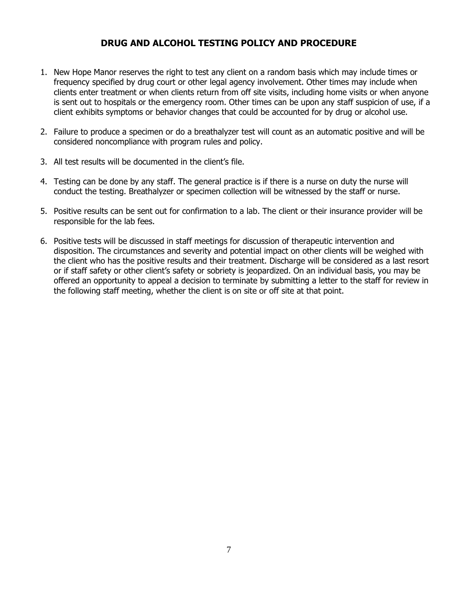# **DRUG AND ALCOHOL TESTING POLICY AND PROCEDURE**

- 1. New Hope Manor reserves the right to test any client on a random basis which may include times or frequency specified by drug court or other legal agency involvement. Other times may include when clients enter treatment or when clients return from off site visits, including home visits or when anyone is sent out to hospitals or the emergency room. Other times can be upon any staff suspicion of use, if a client exhibits symptoms or behavior changes that could be accounted for by drug or alcohol use.
- 2. Failure to produce a specimen or do a breathalyzer test will count as an automatic positive and will be considered noncompliance with program rules and policy.
- 3. All test results will be documented in the client's file.
- 4. Testing can be done by any staff. The general practice is if there is a nurse on duty the nurse will conduct the testing. Breathalyzer or specimen collection will be witnessed by the staff or nurse.
- 5. Positive results can be sent out for confirmation to a lab. The client or their insurance provider will be responsible for the lab fees.
- 6. Positive tests will be discussed in staff meetings for discussion of therapeutic intervention and disposition. The circumstances and severity and potential impact on other clients will be weighed with the client who has the positive results and their treatment. Discharge will be considered as a last resort or if staff safety or other client's safety or sobriety is jeopardized. On an individual basis, you may be offered an opportunity to appeal a decision to terminate by submitting a letter to the staff for review in the following staff meeting, whether the client is on site or off site at that point.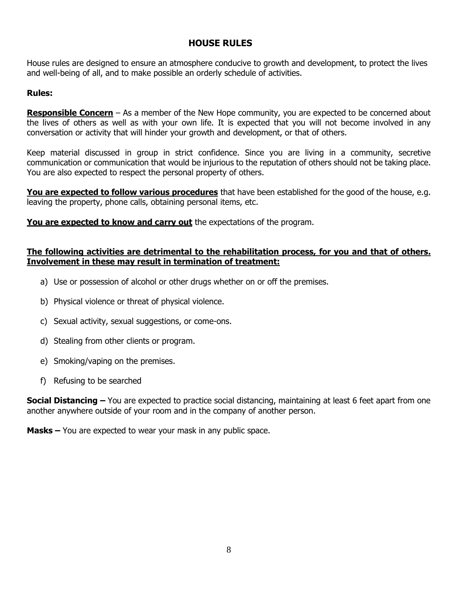# **HOUSE RULES**

House rules are designed to ensure an atmosphere conducive to growth and development, to protect the lives and well-being of all, and to make possible an orderly schedule of activities.

# **Rules:**

**Responsible Concern** – As a member of the New Hope community, you are expected to be concerned about the lives of others as well as with your own life. It is expected that you will not become involved in any conversation or activity that will hinder your growth and development, or that of others.

Keep material discussed in group in strict confidence. Since you are living in a community, secretive communication or communication that would be injurious to the reputation of others should not be taking place. You are also expected to respect the personal property of others.

**You are expected to follow various procedures** that have been established for the good of the house, e.g. leaving the property, phone calls, obtaining personal items, etc.

You are expected to know and carry out the expectations of the program.

# **The following activities are detrimental to the rehabilitation process, for you and that of others. Involvement in these may result in termination of treatment:**

- a) Use or possession of alcohol or other drugs whether on or off the premises.
- b) Physical violence or threat of physical violence.
- c) Sexual activity, sexual suggestions, or come-ons.
- d) Stealing from other clients or program.
- e) Smoking/vaping on the premises.
- f) Refusing to be searched

**Social Distancing –** You are expected to practice social distancing, maintaining at least 6 feet apart from one another anywhere outside of your room and in the company of another person.

**Masks –** You are expected to wear your mask in any public space.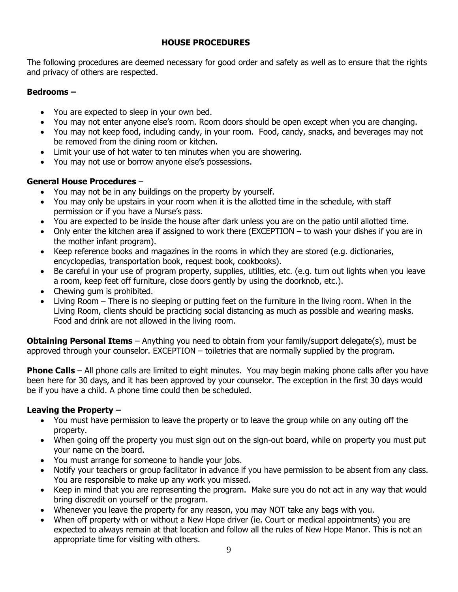# **HOUSE PROCEDURES**

The following procedures are deemed necessary for good order and safety as well as to ensure that the rights and privacy of others are respected.

# **Bedrooms –**

- You are expected to sleep in your own bed.
- You may not enter anyone else's room. Room doors should be open except when you are changing.
- You may not keep food, including candy, in your room. Food, candy, snacks, and beverages may not be removed from the dining room or kitchen.
- Limit your use of hot water to ten minutes when you are showering.
- You may not use or borrow anyone else's possessions.

# **General House Procedures** –

- You may not be in any buildings on the property by yourself.
- You may only be upstairs in your room when it is the allotted time in the schedule, with staff permission or if you have a Nurse's pass.
- You are expected to be inside the house after dark unless you are on the patio until allotted time.
- Only enter the kitchen area if assigned to work there (EXCEPTION to wash your dishes if you are in the mother infant program).
- Keep reference books and magazines in the rooms in which they are stored (e.g. dictionaries, encyclopedias, transportation book, request book, cookbooks).
- Be careful in your use of program property, supplies, utilities, etc. (e.g. turn out lights when you leave a room, keep feet off furniture, close doors gently by using the doorknob, etc.).
- Chewing gum is prohibited.
- Living Room There is no sleeping or putting feet on the furniture in the living room. When in the Living Room, clients should be practicing social distancing as much as possible and wearing masks. Food and drink are not allowed in the living room.

**Obtaining Personal Items** – Anything you need to obtain from your family/support delegate(s), must be approved through your counselor. EXCEPTION – toiletries that are normally supplied by the program.

**Phone Calls** – All phone calls are limited to eight minutes. You may begin making phone calls after you have been here for 30 days, and it has been approved by your counselor. The exception in the first 30 days would be if you have a child. A phone time could then be scheduled.

# **Leaving the Property –**

- You must have permission to leave the property or to leave the group while on any outing off the property.
- When going off the property you must sign out on the sign-out board, while on property you must put your name on the board.
- You must arrange for someone to handle your jobs.
- Notify your teachers or group facilitator in advance if you have permission to be absent from any class. You are responsible to make up any work you missed.
- Keep in mind that you are representing the program. Make sure you do not act in any way that would bring discredit on yourself or the program.
- Whenever you leave the property for any reason, you may NOT take any bags with you.
- When off property with or without a New Hope driver (ie. Court or medical appointments) you are expected to always remain at that location and follow all the rules of New Hope Manor. This is not an appropriate time for visiting with others.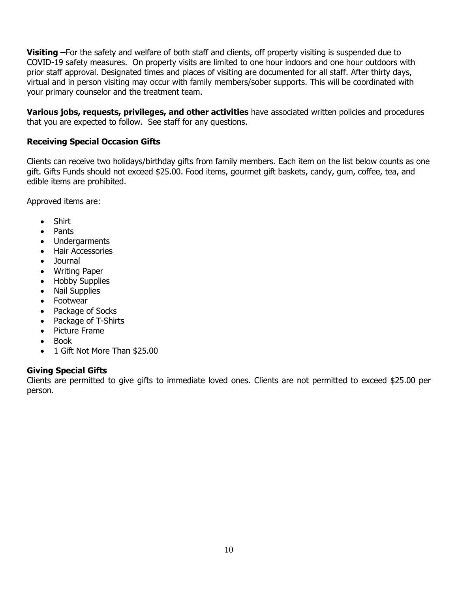**Visiting –**For the safety and welfare of both staff and clients, off property visiting is suspended due to COVID-19 safety measures. On property visits are limited to one hour indoors and one hour outdoors with prior staff approval. Designated times and places of visiting are documented for all staff. After thirty days, virtual and in person visiting may occur with family members/sober supports. This will be coordinated with your primary counselor and the treatment team.

**Various jobs, requests, privileges, and other activities** have associated written policies and procedures that you are expected to follow. See staff for any questions.

# **Receiving Special Occasion Gifts**

Clients can receive two holidays/birthday gifts from family members. Each item on the list below counts as one gift. Gifts Funds should not exceed \$25.00. Food items, gourmet gift baskets, candy, gum, coffee, tea, and edible items are prohibited.

Approved items are:

- Shirt
- Pants
- Undergarments
- Hair Accessories
- Journal
- Writing Paper
- Hobby Supplies
- Nail Supplies
- Footwear
- Package of Socks
- Package of T-Shirts
- Picture Frame
- Book
- 1 Gift Not More Than \$25.00

#### **Giving Special Gifts**

Clients are permitted to give gifts to immediate loved ones. Clients are not permitted to exceed \$25.00 per person.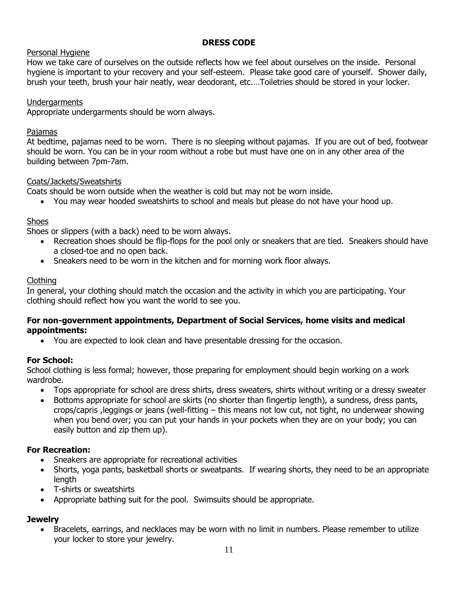# **DRESS CODE**

# Personal Hygiene

How we take care of ourselves on the outside reflects how we feel about ourselves on the inside. Personal hygiene is important to your recovery and your self-esteem. Please take good care of yourself. Shower daily, brush your teeth, brush your hair neatly, wear deodorant, etc.…Toiletries should be stored in your locker.

# Undergarments

Appropriate undergarments should be worn always.

# Pajamas

At bedtime, pajamas need to be worn. There is no sleeping without pajamas. If you are out of bed, footwear should be worn. You can be in your room without a robe but must have one on in any other area of the building between 7pm-7am.

# Coats/Jackets/Sweatshirts

Coats should be worn outside when the weather is cold but may not be worn inside.

• You may wear hooded sweatshirts to school and meals but please do not have your hood up.

# Shoes

Shoes or slippers (with a back) need to be worn always.

- Recreation shoes should be flip-flops for the pool only or sneakers that are tied. Sneakers should have a closed-toe and no open back.
- Sneakers need to be worn in the kitchen and for morning work floor always.

# Clothing

In general, your clothing should match the occasion and the activity in which you are participating. Your clothing should reflect how you want the world to see you.

# **For non-government appointments, Department of Social Services, home visits and medical appointments:**

• You are expected to look clean and have presentable dressing for the occasion.

# **For School:**

School clothing is less formal; however, those preparing for employment should begin working on a work wardrobe.

- Tops appropriate for school are dress shirts, dress sweaters, shirts without writing or a dressy sweater
- Bottoms appropriate for school are skirts (no shorter than fingertip length), a sundress, dress pants, crops/capris ,leggings or jeans (well-fitting – this means not low cut, not tight, no underwear showing when you bend over; you can put your hands in your pockets when they are on your body; you can easily button and zip them up).

# **For Recreation:**

- Sneakers are appropriate for recreational activities
- Shorts, yoga pants, basketball shorts or sweatpants. If wearing shorts, they need to be an appropriate length
- T-shirts or sweatshirts
- Appropriate bathing suit for the pool. Swimsuits should be appropriate.

# **Jewelry**

• Bracelets, earrings, and necklaces may be worn with no limit in numbers. Please remember to utilize your locker to store your jewelry.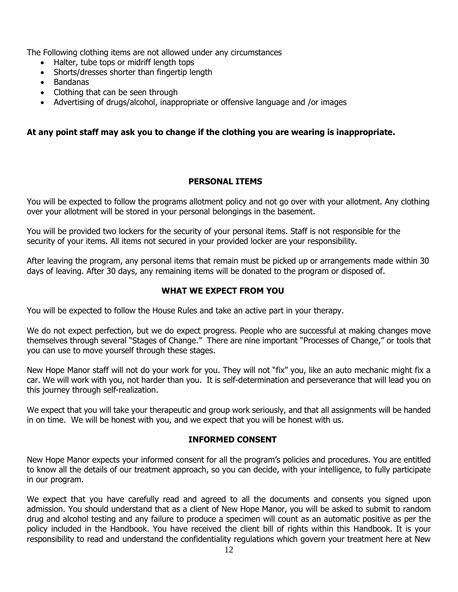The Following clothing items are not allowed under any circumstances

- Halter, tube tops or midriff length tops
- Shorts/dresses shorter than fingertip length
- Bandanas
- Clothing that can be seen through
- Advertising of drugs/alcohol, inappropriate or offensive language and /or images

# **At any point staff may ask you to change if the clothing you are wearing is inappropriate.**

# **PERSONAL ITEMS**

You will be expected to follow the programs allotment policy and not go over with your allotment. Any clothing over your allotment will be stored in your personal belongings in the basement.

You will be provided two lockers for the security of your personal items. Staff is not responsible for the security of your items. All items not secured in your provided locker are your responsibility.

After leaving the program, any personal items that remain must be picked up or arrangements made within 30 days of leaving. After 30 days, any remaining items will be donated to the program or disposed of.

# **WHAT WE EXPECT FROM YOU**

You will be expected to follow the House Rules and take an active part in your therapy.

We do not expect perfection, but we do expect progress. People who are successful at making changes move themselves through several "Stages of Change." There are nine important "Processes of Change," or tools that you can use to move yourself through these stages.

New Hope Manor staff will not do your work for you. They will not "fix" you, like an auto mechanic might fix a car. We will work with you, not harder than you. It is self-determination and perseverance that will lead you on this journey through self-realization.

We expect that you will take your therapeutic and group work seriously, and that all assignments will be handed in on time. We will be honest with you, and we expect that you will be honest with us.

#### **INFORMED CONSENT**

New Hope Manor expects your informed consent for all the program's policies and procedures. You are entitled to know all the details of our treatment approach, so you can decide, with your intelligence, to fully participate in our program.

We expect that you have carefully read and agreed to all the documents and consents you signed upon admission. You should understand that as a client of New Hope Manor, you will be asked to submit to random drug and alcohol testing and any failure to produce a specimen will count as an automatic positive as per the policy included in the Handbook. You have received the client bill of rights within this Handbook. It is your responsibility to read and understand the confidentiality regulations which govern your treatment here at New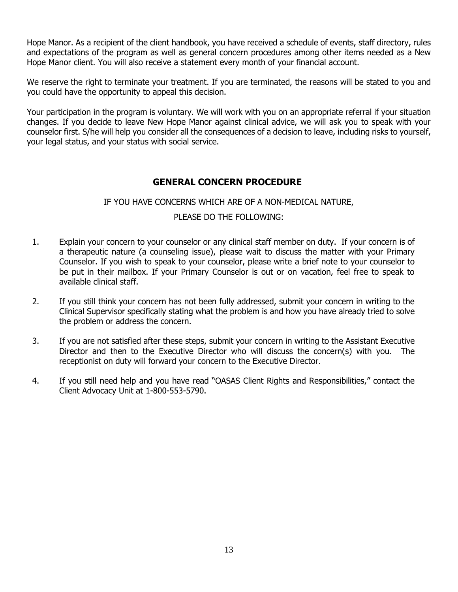Hope Manor. As a recipient of the client handbook, you have received a schedule of events, staff directory, rules and expectations of the program as well as general concern procedures among other items needed as a New Hope Manor client. You will also receive a statement every month of your financial account.

We reserve the right to terminate your treatment. If you are terminated, the reasons will be stated to you and you could have the opportunity to appeal this decision.

Your participation in the program is voluntary. We will work with you on an appropriate referral if your situation changes. If you decide to leave New Hope Manor against clinical advice, we will ask you to speak with your counselor first. S/he will help you consider all the consequences of a decision to leave, including risks to yourself, your legal status, and your status with social service.

# **GENERAL CONCERN PROCEDURE**

# IF YOU HAVE CONCERNS WHICH ARE OF A NON-MEDICAL NATURE,

# PLEASE DO THE FOLLOWING:

- 1. Explain your concern to your counselor or any clinical staff member on duty. If your concern is of a therapeutic nature (a counseling issue), please wait to discuss the matter with your Primary Counselor. If you wish to speak to your counselor, please write a brief note to your counselor to be put in their mailbox. If your Primary Counselor is out or on vacation, feel free to speak to available clinical staff.
- 2. If you still think your concern has not been fully addressed, submit your concern in writing to the Clinical Supervisor specifically stating what the problem is and how you have already tried to solve the problem or address the concern.
- 3. If you are not satisfied after these steps, submit your concern in writing to the Assistant Executive Director and then to the Executive Director who will discuss the concern(s) with you. The receptionist on duty will forward your concern to the Executive Director.
- 4. If you still need help and you have read "OASAS Client Rights and Responsibilities," contact the Client Advocacy Unit at 1-800-553-5790.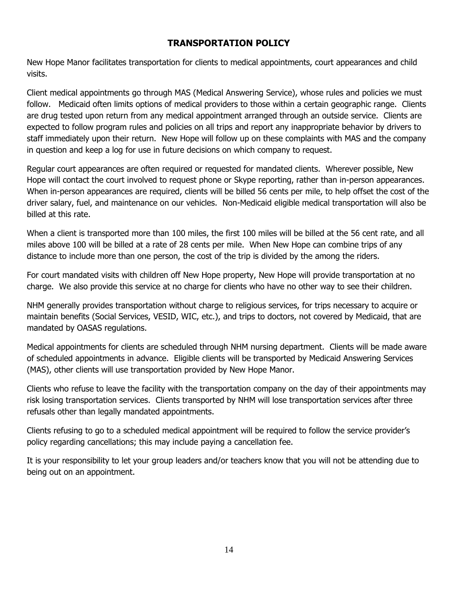# **TRANSPORTATION POLICY**

New Hope Manor facilitates transportation for clients to medical appointments, court appearances and child visits.

Client medical appointments go through MAS (Medical Answering Service), whose rules and policies we must follow. Medicaid often limits options of medical providers to those within a certain geographic range. Clients are drug tested upon return from any medical appointment arranged through an outside service. Clients are expected to follow program rules and policies on all trips and report any inappropriate behavior by drivers to staff immediately upon their return. New Hope will follow up on these complaints with MAS and the company in question and keep a log for use in future decisions on which company to request.

Regular court appearances are often required or requested for mandated clients. Wherever possible, New Hope will contact the court involved to request phone or Skype reporting, rather than in-person appearances. When in-person appearances are required, clients will be billed 56 cents per mile, to help offset the cost of the driver salary, fuel, and maintenance on our vehicles. Non-Medicaid eligible medical transportation will also be billed at this rate.

When a client is transported more than 100 miles, the first 100 miles will be billed at the 56 cent rate, and all miles above 100 will be billed at a rate of 28 cents per mile. When New Hope can combine trips of any distance to include more than one person, the cost of the trip is divided by the among the riders.

For court mandated visits with children off New Hope property, New Hope will provide transportation at no charge. We also provide this service at no charge for clients who have no other way to see their children.

NHM generally provides transportation without charge to religious services, for trips necessary to acquire or maintain benefits (Social Services, VESID, WIC, etc.), and trips to doctors, not covered by Medicaid, that are mandated by OASAS regulations.

Medical appointments for clients are scheduled through NHM nursing department. Clients will be made aware of scheduled appointments in advance. Eligible clients will be transported by Medicaid Answering Services (MAS), other clients will use transportation provided by New Hope Manor.

Clients who refuse to leave the facility with the transportation company on the day of their appointments may risk losing transportation services. Clients transported by NHM will lose transportation services after three refusals other than legally mandated appointments.

Clients refusing to go to a scheduled medical appointment will be required to follow the service provider's policy regarding cancellations; this may include paying a cancellation fee.

It is your responsibility to let your group leaders and/or teachers know that you will not be attending due to being out on an appointment.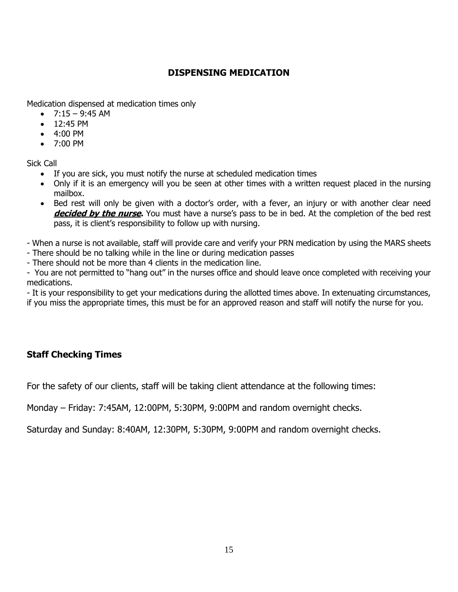# **DISPENSING MEDICATION**

Medication dispensed at medication times only

- $7:15 9:45$  AM
- 12:45 PM
- 4:00 PM
- 7:00 PM

Sick Call

- If you are sick, you must notify the nurse at scheduled medication times
- Only if it is an emergency will you be seen at other times with a written request placed in the nursing mailbox.
- Bed rest will only be given with a doctor's order, with a fever, an injury or with another clear need **decided by the nurse.** You must have a nurse's pass to be in bed. At the completion of the bed rest pass, it is client's responsibility to follow up with nursing.

- When a nurse is not available, staff will provide care and verify your PRN medication by using the MARS sheets

- There should be no talking while in the line or during medication passes
- There should not be more than 4 clients in the medication line.

- You are not permitted to "hang out" in the nurses office and should leave once completed with receiving your medications.

- It is your responsibility to get your medications during the allotted times above. In extenuating circumstances, if you miss the appropriate times, this must be for an approved reason and staff will notify the nurse for you.

# **Staff Checking Times**

For the safety of our clients, staff will be taking client attendance at the following times:

Monday – Friday: 7:45AM, 12:00PM, 5:30PM, 9:00PM and random overnight checks.

Saturday and Sunday: 8:40AM, 12:30PM, 5:30PM, 9:00PM and random overnight checks.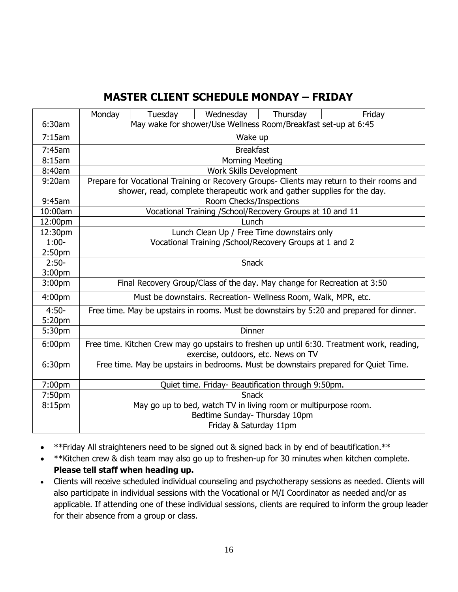# **MASTER CLIENT SCHEDULE MONDAY – FRIDAY**

|                    | Monday                                                                                                                                                                | Tuesday | Wednesday                                          | Thursday | Friday |  |  |  |  |
|--------------------|-----------------------------------------------------------------------------------------------------------------------------------------------------------------------|---------|----------------------------------------------------|----------|--------|--|--|--|--|
| 6:30am             | May wake for shower/Use Wellness Room/Breakfast set-up at 6:45                                                                                                        |         |                                                    |          |        |  |  |  |  |
| 7:15am             | Wake up                                                                                                                                                               |         |                                                    |          |        |  |  |  |  |
| 7:45am             | <b>Breakfast</b>                                                                                                                                                      |         |                                                    |          |        |  |  |  |  |
| 8:15am             | <b>Morning Meeting</b>                                                                                                                                                |         |                                                    |          |        |  |  |  |  |
| 8:40am             | Work Skills Development                                                                                                                                               |         |                                                    |          |        |  |  |  |  |
| 9:20am             | Prepare for Vocational Training or Recovery Groups- Clients may return to their rooms and<br>shower, read, complete therapeutic work and gather supplies for the day. |         |                                                    |          |        |  |  |  |  |
| 9:45am             | Room Checks/Inspections                                                                                                                                               |         |                                                    |          |        |  |  |  |  |
| 10:00am            | Vocational Training / School/Recovery Groups at 10 and 11                                                                                                             |         |                                                    |          |        |  |  |  |  |
| 12:00pm            | Lunch                                                                                                                                                                 |         |                                                    |          |        |  |  |  |  |
| 12:30pm            | Lunch Clean Up / Free Time downstairs only                                                                                                                            |         |                                                    |          |        |  |  |  |  |
| $1:00-$            | Vocational Training / School/Recovery Groups at 1 and 2                                                                                                               |         |                                                    |          |        |  |  |  |  |
| 2:50 <sub>pm</sub> |                                                                                                                                                                       |         |                                                    |          |        |  |  |  |  |
| $2:50-$            | <b>Snack</b>                                                                                                                                                          |         |                                                    |          |        |  |  |  |  |
| 3:00pm             |                                                                                                                                                                       |         |                                                    |          |        |  |  |  |  |
| 3:00 <sub>pm</sub> | Final Recovery Group/Class of the day. May change for Recreation at 3:50                                                                                              |         |                                                    |          |        |  |  |  |  |
| 4:00pm             | Must be downstairs. Recreation- Wellness Room, Walk, MPR, etc.                                                                                                        |         |                                                    |          |        |  |  |  |  |
| $4:50-$            | Free time. May be upstairs in rooms. Must be downstairs by 5:20 and prepared for dinner.                                                                              |         |                                                    |          |        |  |  |  |  |
| 5:20pm             |                                                                                                                                                                       |         |                                                    |          |        |  |  |  |  |
| 5:30pm             | <b>Dinner</b>                                                                                                                                                         |         |                                                    |          |        |  |  |  |  |
| 6:00pm             | Free time. Kitchen Crew may go upstairs to freshen up until 6:30. Treatment work, reading,<br>exercise, outdoors, etc. News on TV                                     |         |                                                    |          |        |  |  |  |  |
| 6:30pm             | Free time. May be upstairs in bedrooms. Must be downstairs prepared for Quiet Time.                                                                                   |         |                                                    |          |        |  |  |  |  |
| 7:00pm             |                                                                                                                                                                       |         | Quiet time. Friday- Beautification through 9:50pm. |          |        |  |  |  |  |
| 7:50pm             | <b>Snack</b>                                                                                                                                                          |         |                                                    |          |        |  |  |  |  |
| 8:15pm             | May go up to bed, watch TV in living room or multipurpose room.<br>Bedtime Sunday- Thursday 10pm<br>Friday & Saturday 11pm                                            |         |                                                    |          |        |  |  |  |  |

- \*\*Friday All straighteners need to be signed out & signed back in by end of beautification.\*\*
- \*\*Kitchen crew & dish team may also go up to freshen-up for 30 minutes when kitchen complete. **Please tell staff when heading up.**
- Clients will receive scheduled individual counseling and psychotherapy sessions as needed. Clients will also participate in individual sessions with the Vocational or M/I Coordinator as needed and/or as applicable. If attending one of these individual sessions, clients are required to inform the group leader for their absence from a group or class.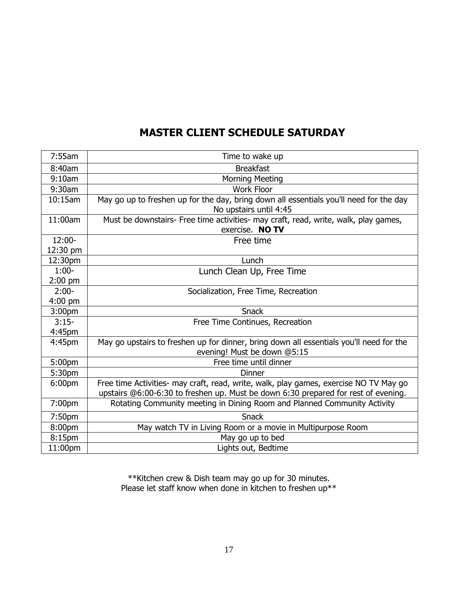# **MASTER CLIENT SCHEDULE SATURDAY**

| 7:55am             | Time to wake up                                                                                                                                                             |  |  |  |  |
|--------------------|-----------------------------------------------------------------------------------------------------------------------------------------------------------------------------|--|--|--|--|
| 8:40am             | <b>Breakfast</b>                                                                                                                                                            |  |  |  |  |
| 9:10am             | <b>Morning Meeting</b>                                                                                                                                                      |  |  |  |  |
| 9:30am             | <b>Work Floor</b>                                                                                                                                                           |  |  |  |  |
| 10:15am            | May go up to freshen up for the day, bring down all essentials you'll need for the day<br>No upstairs until 4:45                                                            |  |  |  |  |
| 11:00am            | Must be downstairs- Free time activities- may craft, read, write, walk, play games,<br>exercise. NO TV                                                                      |  |  |  |  |
| 12:00-             | Free time                                                                                                                                                                   |  |  |  |  |
| 12:30 pm           |                                                                                                                                                                             |  |  |  |  |
| 12:30pm            | Lunch                                                                                                                                                                       |  |  |  |  |
| $1:00-$            | Lunch Clean Up, Free Time                                                                                                                                                   |  |  |  |  |
| $2:00$ pm          |                                                                                                                                                                             |  |  |  |  |
| $2:00-$            | Socialization, Free Time, Recreation                                                                                                                                        |  |  |  |  |
| $4:00$ pm          |                                                                                                                                                                             |  |  |  |  |
| 3:00 <sub>pm</sub> | <b>Snack</b>                                                                                                                                                                |  |  |  |  |
| $3:15-$            | Free Time Continues, Recreation                                                                                                                                             |  |  |  |  |
| 4:45pm             |                                                                                                                                                                             |  |  |  |  |
| 4:45pm             | May go upstairs to freshen up for dinner, bring down all essentials you'll need for the<br>evening! Must be down @5:15                                                      |  |  |  |  |
| 5:00pm             | Free time until dinner                                                                                                                                                      |  |  |  |  |
| 5:30pm             | <b>Dinner</b>                                                                                                                                                               |  |  |  |  |
| 6:00pm             | Free time Activities- may craft, read, write, walk, play games, exercise NO TV May go<br>upstairs @6:00-6:30 to freshen up. Must be down 6:30 prepared for rest of evening. |  |  |  |  |
| 7:00pm             | Rotating Community meeting in Dining Room and Planned Community Activity                                                                                                    |  |  |  |  |
| 7:50pm             | <b>Snack</b>                                                                                                                                                                |  |  |  |  |
| 8:00pm             | May watch TV in Living Room or a movie in Multipurpose Room                                                                                                                 |  |  |  |  |
| 8:15pm             | May go up to bed                                                                                                                                                            |  |  |  |  |
| 11:00pm            | Lights out, Bedtime                                                                                                                                                         |  |  |  |  |

\*\*Kitchen crew & Dish team may go up for 30 minutes. Please let staff know when done in kitchen to freshen up\*\*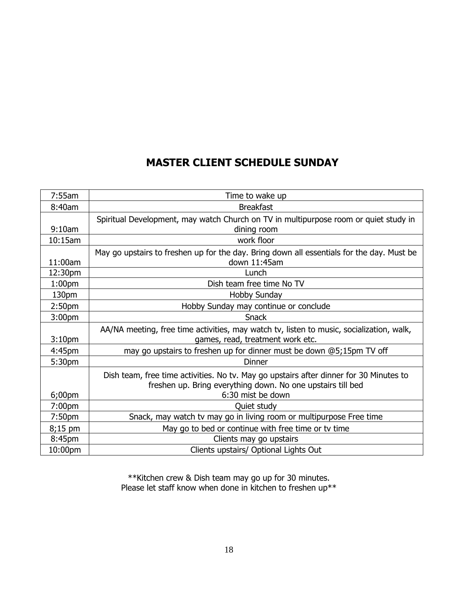# **MASTER CLIENT SCHEDULE SUNDAY**

| 7:55am             | Time to wake up                                                                                                                                                            |  |  |  |  |
|--------------------|----------------------------------------------------------------------------------------------------------------------------------------------------------------------------|--|--|--|--|
| 8:40am             | <b>Breakfast</b>                                                                                                                                                           |  |  |  |  |
|                    | Spiritual Development, may watch Church on TV in multipurpose room or quiet study in                                                                                       |  |  |  |  |
| 9:10am             | dining room                                                                                                                                                                |  |  |  |  |
| 10:15am            | work floor                                                                                                                                                                 |  |  |  |  |
|                    | May go upstairs to freshen up for the day. Bring down all essentials for the day. Must be                                                                                  |  |  |  |  |
| 11:00am            | down 11:45am                                                                                                                                                               |  |  |  |  |
| 12:30pm            | Lunch                                                                                                                                                                      |  |  |  |  |
| 1:00 <sub>pm</sub> | Dish team free time No TV                                                                                                                                                  |  |  |  |  |
| 130pm              | <b>Hobby Sunday</b>                                                                                                                                                        |  |  |  |  |
| 2:50 <sub>pm</sub> | Hobby Sunday may continue or conclude                                                                                                                                      |  |  |  |  |
| 3:00 <sub>pm</sub> | <b>Snack</b>                                                                                                                                                               |  |  |  |  |
| 3:10 <sub>pm</sub> | AA/NA meeting, free time activities, may watch tv, listen to music, socialization, walk,<br>games, read, treatment work etc.                                               |  |  |  |  |
| 4:45pm             | may go upstairs to freshen up for dinner must be down @5;15pm TV off                                                                                                       |  |  |  |  |
| 5:30pm             | <b>Dinner</b>                                                                                                                                                              |  |  |  |  |
| $6;00$ pm          | Dish team, free time activities. No tv. May go upstairs after dinner for 30 Minutes to<br>freshen up. Bring everything down. No one upstairs till bed<br>6:30 mist be down |  |  |  |  |
| 7:00 <sub>pm</sub> | Quiet study                                                                                                                                                                |  |  |  |  |
| 7:50pm             | Snack, may watch tv may go in living room or multipurpose Free time                                                                                                        |  |  |  |  |
| 8;15 pm            | May go to bed or continue with free time or tv time                                                                                                                        |  |  |  |  |
| 8:45pm             | Clients may go upstairs                                                                                                                                                    |  |  |  |  |
| 10:00pm            | Clients upstairs/ Optional Lights Out                                                                                                                                      |  |  |  |  |

\*\*Kitchen crew & Dish team may go up for 30 minutes. Please let staff know when done in kitchen to freshen up\*\*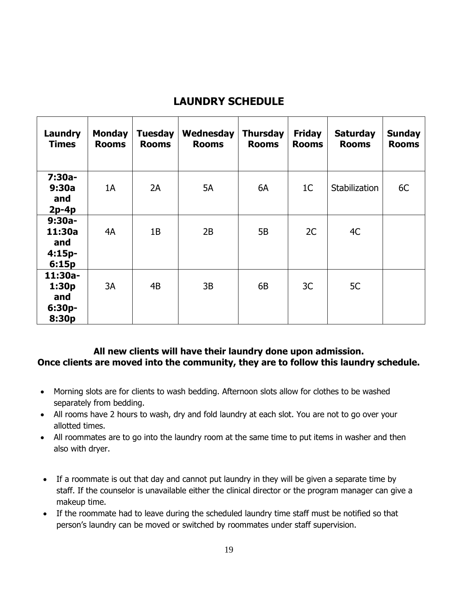# **LAUNDRY SCHEDULE**

| Laundry<br><b>Times</b>                        | <b>Monday</b><br><b>Rooms</b> | <b>Tuesday</b><br><b>Rooms</b> | Wednesday<br><b>Rooms</b> | <b>Thursday</b><br><b>Rooms</b> | <b>Friday</b><br><b>Rooms</b> | <b>Saturday</b><br><b>Rooms</b> | <b>Sunday</b><br><b>Rooms</b> |
|------------------------------------------------|-------------------------------|--------------------------------|---------------------------|---------------------------------|-------------------------------|---------------------------------|-------------------------------|
| $7:30a-$<br>9:30a<br>and<br>$2p-4p$            | 1A                            | 2A                             | 5A                        | 6A                              | 1 <sup>C</sup>                | Stabilization                   | 6C                            |
| $9:30a-$<br>11:30a<br>and<br>$4:15p-$<br>6:15p | 4A                            | 1B                             | 2B                        | 5B                              | 2C                            | 4C                              |                               |
| 11:30a-<br>1:30p<br>and<br>6:30p-<br>8:30p     | 3A                            | 4B                             | 3B                        | 6B                              | 3C                            | 5C                              |                               |

# **All new clients will have their laundry done upon admission. Once clients are moved into the community, they are to follow this laundry schedule.**

- Morning slots are for clients to wash bedding. Afternoon slots allow for clothes to be washed separately from bedding.
- All rooms have 2 hours to wash, dry and fold laundry at each slot. You are not to go over your allotted times.
- All roommates are to go into the laundry room at the same time to put items in washer and then also with dryer.
- If a roommate is out that day and cannot put laundry in they will be given a separate time by staff. If the counselor is unavailable either the clinical director or the program manager can give a makeup time.
- If the roommate had to leave during the scheduled laundry time staff must be notified so that person's laundry can be moved or switched by roommates under staff supervision.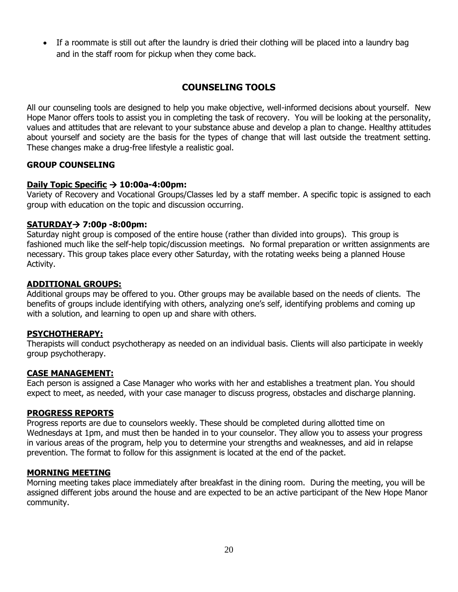• If a roommate is still out after the laundry is dried their clothing will be placed into a laundry bag and in the staff room for pickup when they come back.

# **COUNSELING TOOLS**

All our counseling tools are designed to help you make objective, well-informed decisions about yourself. New Hope Manor offers tools to assist you in completing the task of recovery. You will be looking at the personality, values and attitudes that are relevant to your substance abuse and develop a plan to change. Healthy attitudes about yourself and society are the basis for the types of change that will last outside the treatment setting. These changes make a drug-free lifestyle a realistic goal.

# **GROUP COUNSELING**

# **Daily Topic Specific** → **10:00a-4:00pm:**

Variety of Recovery and Vocational Groups/Classes led by a staff member. A specific topic is assigned to each group with education on the topic and discussion occurring.

#### **SATURDAY**→ **7:00p -8:00pm:**

Saturday night group is composed of the entire house (rather than divided into groups). This group is fashioned much like the self-help topic/discussion meetings. No formal preparation or written assignments are necessary. This group takes place every other Saturday, with the rotating weeks being a planned House Activity.

#### **ADDITIONAL GROUPS:**

Additional groups may be offered to you. Other groups may be available based on the needs of clients. The benefits of groups include identifying with others, analyzing one's self, identifying problems and coming up with a solution, and learning to open up and share with others.

#### **PSYCHOTHERAPY:**

Therapists will conduct psychotherapy as needed on an individual basis. Clients will also participate in weekly group psychotherapy.

#### **CASE MANAGEMENT:**

Each person is assigned a Case Manager who works with her and establishes a treatment plan. You should expect to meet, as needed, with your case manager to discuss progress, obstacles and discharge planning.

#### **PROGRESS REPORTS**

Progress reports are due to counselors weekly. These should be completed during allotted time on Wednesdays at 1pm, and must then be handed in to your counselor. They allow you to assess your progress in various areas of the program, help you to determine your strengths and weaknesses, and aid in relapse prevention. The format to follow for this assignment is located at the end of the packet.

#### **MORNING MEETING**

Morning meeting takes place immediately after breakfast in the dining room. During the meeting, you will be assigned different jobs around the house and are expected to be an active participant of the New Hope Manor community.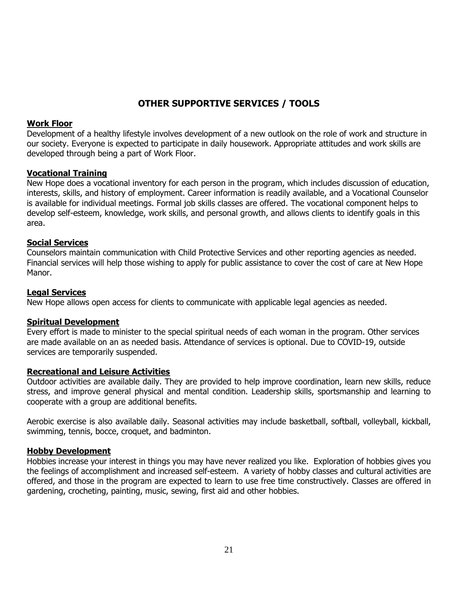# **OTHER SUPPORTIVE SERVICES / TOOLS**

#### **Work Floor**

Development of a healthy lifestyle involves development of a new outlook on the role of work and structure in our society. Everyone is expected to participate in daily housework. Appropriate attitudes and work skills are developed through being a part of Work Floor.

# **Vocational Training**

New Hope does a vocational inventory for each person in the program, which includes discussion of education, interests, skills, and history of employment. Career information is readily available, and a Vocational Counselor is available for individual meetings. Formal job skills classes are offered. The vocational component helps to develop self-esteem, knowledge, work skills, and personal growth, and allows clients to identify goals in this area.

# **Social Services**

Counselors maintain communication with Child Protective Services and other reporting agencies as needed. Financial services will help those wishing to apply for public assistance to cover the cost of care at New Hope Manor.

# **Legal Services**

New Hope allows open access for clients to communicate with applicable legal agencies as needed.

# **Spiritual Development**

Every effort is made to minister to the special spiritual needs of each woman in the program. Other services are made available on an as needed basis. Attendance of services is optional. Due to COVID-19, outside services are temporarily suspended.

#### **Recreational and Leisure Activities**

Outdoor activities are available daily. They are provided to help improve coordination, learn new skills, reduce stress, and improve general physical and mental condition. Leadership skills, sportsmanship and learning to cooperate with a group are additional benefits.

Aerobic exercise is also available daily. Seasonal activities may include basketball, softball, volleyball, kickball, swimming, tennis, bocce, croquet, and badminton.

# **Hobby Development**

Hobbies increase your interest in things you may have never realized you like. Exploration of hobbies gives you the feelings of accomplishment and increased self-esteem. A variety of hobby classes and cultural activities are offered, and those in the program are expected to learn to use free time constructively. Classes are offered in gardening, crocheting, painting, music, sewing, first aid and other hobbies.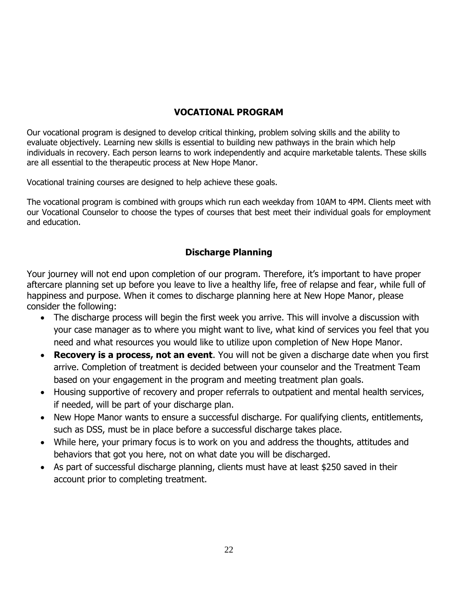# **VOCATIONAL PROGRAM**

Our vocational program is designed to develop critical thinking, problem solving skills and the ability to evaluate objectively. Learning new skills is essential to building new pathways in the brain which help individuals in recovery. Each person learns to work independently and acquire marketable talents. These skills are all essential to the therapeutic process at New Hope Manor.

Vocational training courses are designed to help achieve these goals.

The vocational program is combined with groups which run each weekday from 10AM to 4PM. Clients meet with our Vocational Counselor to choose the types of courses that best meet their individual goals for employment and education.

# **Discharge Planning**

Your journey will not end upon completion of our program. Therefore, it's important to have proper aftercare planning set up before you leave to live a healthy life, free of relapse and fear, while full of happiness and purpose. When it comes to discharge planning here at New Hope Manor, please consider the following:

- The discharge process will begin the first week you arrive. This will involve a discussion with your case manager as to where you might want to live, what kind of services you feel that you need and what resources you would like to utilize upon completion of New Hope Manor.
- **Recovery is a process, not an event**. You will not be given a discharge date when you first arrive. Completion of treatment is decided between your counselor and the Treatment Team based on your engagement in the program and meeting treatment plan goals.
- Housing supportive of recovery and proper referrals to outpatient and mental health services, if needed, will be part of your discharge plan.
- New Hope Manor wants to ensure a successful discharge. For qualifying clients, entitlements, such as DSS, must be in place before a successful discharge takes place.
- While here, your primary focus is to work on you and address the thoughts, attitudes and behaviors that got you here, not on what date you will be discharged.
- As part of successful discharge planning, clients must have at least \$250 saved in their account prior to completing treatment.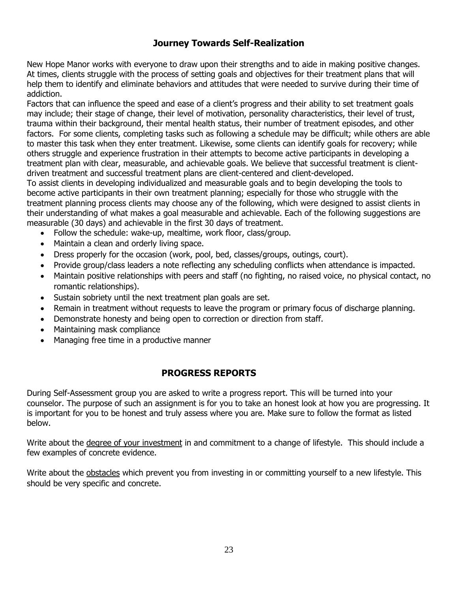# **Journey Towards Self-Realization**

New Hope Manor works with everyone to draw upon their strengths and to aide in making positive changes. At times, clients struggle with the process of setting goals and objectives for their treatment plans that will help them to identify and eliminate behaviors and attitudes that were needed to survive during their time of addiction.

Factors that can influence the speed and ease of a client's progress and their ability to set treatment goals may include; their stage of change, their level of motivation, personality characteristics, their level of trust, trauma within their background, their mental health status, their number of treatment episodes, and other factors. For some clients, completing tasks such as following a schedule may be difficult; while others are able to master this task when they enter treatment. Likewise, some clients can identify goals for recovery; while others struggle and experience frustration in their attempts to become active participants in developing a treatment plan with clear, measurable, and achievable goals. We believe that successful treatment is clientdriven treatment and successful treatment plans are client-centered and client-developed.

To assist clients in developing individualized and measurable goals and to begin developing the tools to become active participants in their own treatment planning; especially for those who struggle with the treatment planning process clients may choose any of the following, which were designed to assist clients in their understanding of what makes a goal measurable and achievable. Each of the following suggestions are measurable (30 days) and achievable in the first 30 days of treatment.

- Follow the schedule: wake-up, mealtime, work floor, class/group.
- Maintain a clean and orderly living space.
- Dress properly for the occasion (work, pool, bed, classes/groups, outings, court).
- Provide group/class leaders a note reflecting any scheduling conflicts when attendance is impacted.
- Maintain positive relationships with peers and staff (no fighting, no raised voice, no physical contact, no romantic relationships).
- Sustain sobriety until the next treatment plan goals are set.
- Remain in treatment without requests to leave the program or primary focus of discharge planning.
- Demonstrate honesty and being open to correction or direction from staff.
- Maintaining mask compliance
- Managing free time in a productive manner

# **PROGRESS REPORTS**

During Self-Assessment group you are asked to write a progress report. This will be turned into your counselor. The purpose of such an assignment is for you to take an honest look at how you are progressing. It is important for you to be honest and truly assess where you are. Make sure to follow the format as listed below.

Write about the degree of your investment in and commitment to a change of lifestyle. This should include a few examples of concrete evidence.

Write about the obstacles which prevent you from investing in or committing yourself to a new lifestyle. This should be very specific and concrete.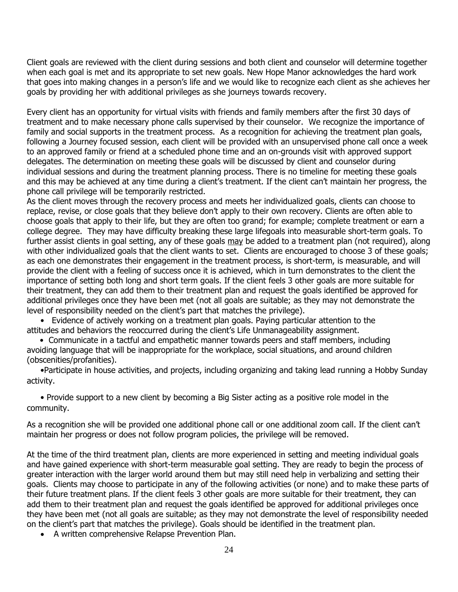Client goals are reviewed with the client during sessions and both client and counselor will determine together when each goal is met and its appropriate to set new goals. New Hope Manor acknowledges the hard work that goes into making changes in a person's life and we would like to recognize each client as she achieves her goals by providing her with additional privileges as she journeys towards recovery.

Every client has an opportunity for virtual visits with friends and family members after the first 30 days of treatment and to make necessary phone calls supervised by their counselor. We recognize the importance of family and social supports in the treatment process. As a recognition for achieving the treatment plan goals, following a Journey focused session, each client will be provided with an unsupervised phone call once a week to an approved family or friend at a scheduled phone time and an on-grounds visit with approved support delegates. The determination on meeting these goals will be discussed by client and counselor during individual sessions and during the treatment planning process. There is no timeline for meeting these goals and this may be achieved at any time during a client's treatment. If the client can't maintain her progress, the phone call privilege will be temporarily restricted.

As the client moves through the recovery process and meets her individualized goals, clients can choose to replace, revise, or close goals that they believe don't apply to their own recovery. Clients are often able to choose goals that apply to their life, but they are often too grand; for example; complete treatment or earn a college degree. They may have difficulty breaking these large lifegoals into measurable short-term goals. To further assist clients in goal setting, any of these goals may be added to a treatment plan (not required), along with other individualized goals that the client wants to set. Clients are encouraged to choose 3 of these goals; as each one demonstrates their engagement in the treatment process, is short-term, is measurable, and will provide the client with a feeling of success once it is achieved, which in turn demonstrates to the client the importance of setting both long and short term goals. If the client feels 3 other goals are more suitable for their treatment, they can add them to their treatment plan and request the goals identified be approved for additional privileges once they have been met (not all goals are suitable; as they may not demonstrate the level of responsibility needed on the client's part that matches the privilege).

• Evidence of actively working on a treatment plan goals. Paying particular attention to the attitudes and behaviors the reoccurred during the client's Life Unmanageability assignment.

 • Communicate in a tactful and empathetic manner towards peers and staff members, including avoiding language that will be inappropriate for the workplace, social situations, and around children (obscenities/profanities).

•Participate in house activities, and projects, including organizing and taking lead running a Hobby Sunday activity.

• Provide support to a new client by becoming a Big Sister acting as a positive role model in the community.

As a recognition she will be provided one additional phone call or one additional zoom call. If the client can't maintain her progress or does not follow program policies, the privilege will be removed.

At the time of the third treatment plan, clients are more experienced in setting and meeting individual goals and have gained experience with short-term measurable goal setting. They are ready to begin the process of greater interaction with the larger world around them but may still need help in verbalizing and setting their goals. Clients may choose to participate in any of the following activities (or none) and to make these parts of their future treatment plans. If the client feels 3 other goals are more suitable for their treatment, they can add them to their treatment plan and request the goals identified be approved for additional privileges once they have been met (not all goals are suitable; as they may not demonstrate the level of responsibility needed on the client's part that matches the privilege). Goals should be identified in the treatment plan.

• A written comprehensive Relapse Prevention Plan.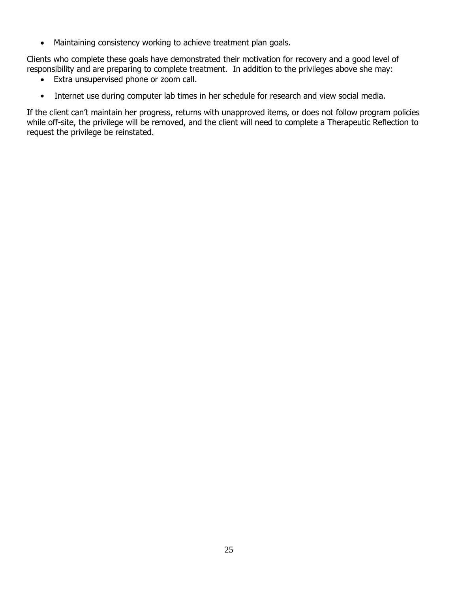• Maintaining consistency working to achieve treatment plan goals.

Clients who complete these goals have demonstrated their motivation for recovery and a good level of responsibility and are preparing to complete treatment. In addition to the privileges above she may:

- Extra unsupervised phone or zoom call.
- Internet use during computer lab times in her schedule for research and view social media.

If the client can't maintain her progress, returns with unapproved items, or does not follow program policies while off-site, the privilege will be removed, and the client will need to complete a Therapeutic Reflection to request the privilege be reinstated.